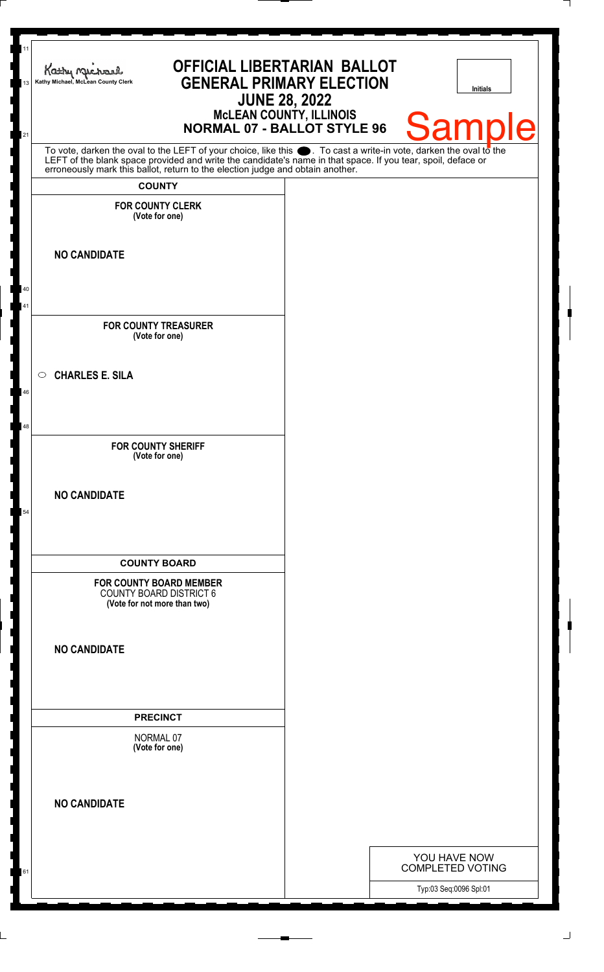| 11<br>13 | <b>OFFICIAL LIBERTARIAN BALLOT</b><br>Kathy Michael<br><b>GENERAL PRIMARY ELECTION</b><br>Kathy Michael, McLean County Clerk<br><b>JUNE 28, 2022</b><br><b>MCLEAN COUNTY, ILLINOIS</b>                                                                                                                                 | <b>Initials</b>                         |
|----------|------------------------------------------------------------------------------------------------------------------------------------------------------------------------------------------------------------------------------------------------------------------------------------------------------------------------|-----------------------------------------|
| 21       | <b>NORMAL 07 - BALLOT STYLE 96</b>                                                                                                                                                                                                                                                                                     | <b>Sample</b>                           |
|          | To vote, darken the oval to the LEFT of your choice, like this $\bullet$ . To cast a write-in vote, darken the oval to the LEFT of the blank space provided and write the candidate's name in that space. If you tear, spoil, deface<br>erroneously mark this ballot, return to the election judge and obtain another. |                                         |
|          | <b>COUNTY</b>                                                                                                                                                                                                                                                                                                          |                                         |
|          | <b>FOR COUNTY CLERK</b><br>(Vote for one)                                                                                                                                                                                                                                                                              |                                         |
|          |                                                                                                                                                                                                                                                                                                                        |                                         |
|          | <b>NO CANDIDATE</b>                                                                                                                                                                                                                                                                                                    |                                         |
| 40       |                                                                                                                                                                                                                                                                                                                        |                                         |
| 41       |                                                                                                                                                                                                                                                                                                                        |                                         |
|          | <b>FOR COUNTY TREASURER</b><br>(Vote for one)                                                                                                                                                                                                                                                                          |                                         |
|          |                                                                                                                                                                                                                                                                                                                        |                                         |
| 46       | $\circ$ CHARLES E. SILA                                                                                                                                                                                                                                                                                                |                                         |
|          |                                                                                                                                                                                                                                                                                                                        |                                         |
| 48       |                                                                                                                                                                                                                                                                                                                        |                                         |
|          | <b>FOR COUNTY SHERIFF</b><br>(Vote for one)                                                                                                                                                                                                                                                                            |                                         |
|          |                                                                                                                                                                                                                                                                                                                        |                                         |
| 54       | <b>NO CANDIDATE</b>                                                                                                                                                                                                                                                                                                    |                                         |
|          |                                                                                                                                                                                                                                                                                                                        |                                         |
|          | <b>COUNTY BOARD</b>                                                                                                                                                                                                                                                                                                    |                                         |
|          | <b>FOR COUNTY BOARD MEMBER</b><br><b>COUNTY BOARD DISTRICT 6</b><br>(Vote for not more than two)                                                                                                                                                                                                                       |                                         |
|          |                                                                                                                                                                                                                                                                                                                        |                                         |
|          | <b>NO CANDIDATE</b>                                                                                                                                                                                                                                                                                                    |                                         |
|          |                                                                                                                                                                                                                                                                                                                        |                                         |
|          | <b>PRECINCT</b>                                                                                                                                                                                                                                                                                                        |                                         |
|          | NORMAL 07                                                                                                                                                                                                                                                                                                              |                                         |
|          | (Vote for one)                                                                                                                                                                                                                                                                                                         |                                         |
|          |                                                                                                                                                                                                                                                                                                                        |                                         |
|          | <b>NO CANDIDATE</b>                                                                                                                                                                                                                                                                                                    |                                         |
|          |                                                                                                                                                                                                                                                                                                                        |                                         |
|          |                                                                                                                                                                                                                                                                                                                        | YOU HAVE NOW<br><b>COMPLETED VOTING</b> |
| 61       |                                                                                                                                                                                                                                                                                                                        | Typ:03 Seq:0096 Spl:01                  |
|          |                                                                                                                                                                                                                                                                                                                        |                                         |